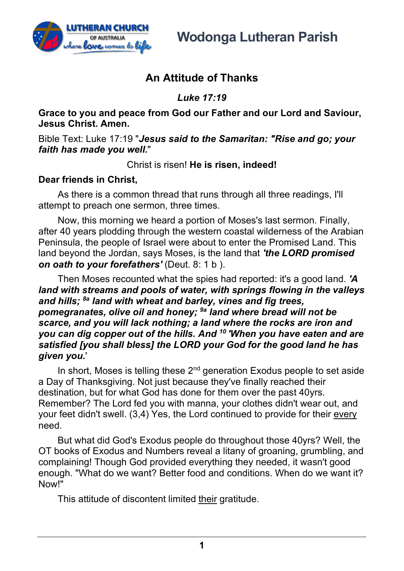

**Wodonga Lutheran Parish**

## **An Attitude of Thanks**

*Luke 17:19*

**Grace to you and peace from God our Father and our Lord and Saviour, Jesus Christ. Amen.**

Bible Text: Luke 17:19 "*Jesus said to the Samaritan: "Rise and go; your faith has made you well.*"

Christ is risen! **He is risen, indeed!**

## **Dear friends in Christ,**

As there is a common thread that runs through all three readings, I'll attempt to preach one sermon, three times.

Now, this morning we heard a portion of Moses's last sermon. Finally, after 40 years plodding through the western coastal wilderness of the Arabian Peninsula, the people of Israel were about to enter the Promised Land. This land beyond the Jordan, says Moses, is the land that *'the LORD promised on oath to your forefathers'* (Deut. 8: 1 b ).

Then Moses recounted what the spies had reported: it's a good land. *'A land with streams and pools of water, with springs flowing in the valleys and hills; 8a land with wheat and barley, vines and fig trees, pomegranates, olive oil and honey; 9a land where bread will not be scarce, and you will lack nothing; a land where the rocks are iron and you can dig copper out of the hills. And 10 'When you have eaten and are satisfied [you shall bless] the LORD your God for the good land he has given you.*'

In short, Moses is telling these  $2<sup>nd</sup>$  generation Exodus people to set aside a Day of Thanksgiving. Not just because they've finally reached their destination, but for what God has done for them over the past 40yrs. Remember? The Lord fed you with manna, your clothes didn't wear out, and your feet didn't swell. (3,4) Yes, the Lord continued to provide for their every need.

But what did God's Exodus people do throughout those 40yrs? Well, the OT books of Exodus and Numbers reveal a litany of groaning, grumbling, and complaining! Though God provided everything they needed, it wasn't good enough. "What do we want? Better food and conditions. When do we want it? Now!"

This attitude of discontent limited their gratitude.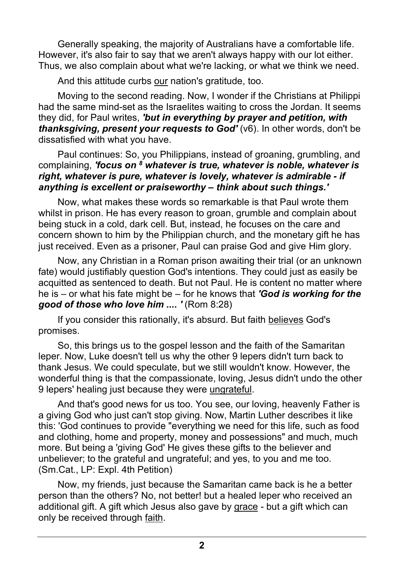Generally speaking, the majority of Australians have a comfortable life. However, it's also fair to say that we aren't always happy with our lot either. Thus, we also complain about what we're lacking, or what we think we need.

And this attitude curbs our nation's gratitude, too.

Moving to the second reading. Now, I wonder if the Christians at Philippi had the same mind-set as the Israelites waiting to cross the Jordan. It seems they did, for Paul writes, *'but in everything by prayer and petition, with thanksgiving, present your requests to God'* (v6). In other words, don't be dissatisfied with what you have.

Paul continues: So, you Philippians, instead of groaning, grumbling, and complaining, *'focus on 8 whatever is true, whatever is noble, whatever is right, whatever is pure, whatever is lovely, whatever is admirable - if anything is excellent or praiseworthy – think about such things.'*

Now, what makes these words so remarkable is that Paul wrote them whilst in prison. He has every reason to groan, grumble and complain about being stuck in a cold, dark cell. But, instead, he focuses on the care and concern shown to him by the Philippian church, and the monetary gift he has just received. Even as a prisoner, Paul can praise God and give Him glory.

Now, any Christian in a Roman prison awaiting their trial (or an unknown fate) would justifiably question God's intentions. They could just as easily be acquitted as sentenced to death. But not Paul. He is content no matter where he is – or what his fate might be – for he knows that *'God is working for the good of those who love him .... '* (Rom 8:28)

If you consider this rationally, it's absurd. But faith believes God's promises.

So, this brings us to the gospel lesson and the faith of the Samaritan leper. Now, Luke doesn't tell us why the other 9 lepers didn't turn back to thank Jesus. We could speculate, but we still wouldn't know. However, the wonderful thing is that the compassionate, loving, Jesus didn't undo the other 9 lepers' healing just because they were ungrateful.

And that's good news for us too. You see, our loving, heavenly Father is a giving God who just can't stop giving. Now, Martin Luther describes it like this: 'God continues to provide "everything we need for this life, such as food and clothing, home and property, money and possessions" and much, much more. But being a 'giving God' He gives these gifts to the believer and unbeliever; to the grateful and ungrateful; and yes, to you and me too. (Sm.Cat., LP: Expl. 4th Petition)

Now, my friends, just because the Samaritan came back is he a better person than the others? No, not better! but a healed leper who received an additional gift. A gift which Jesus also gave by grace - but a gift which can only be received through faith.